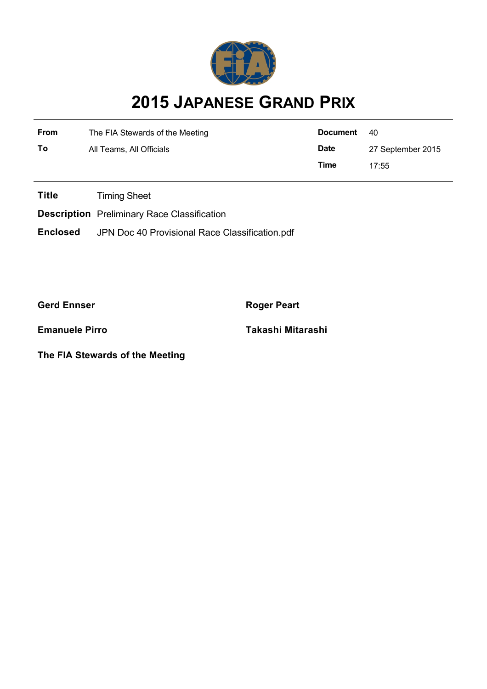

## **2015 JAPANESE GRAND PRIX**

| <b>From</b> | The FIA Stewards of the Meeting | <b>Document</b> | -40               |  |
|-------------|---------------------------------|-----------------|-------------------|--|
| To          | All Teams, All Officials        | <b>Date</b>     | 27 September 2015 |  |
|             |                                 | Time            | 17:55             |  |

**Title** Timing Sheet

**Description** Preliminary Race Classification

**Enclosed** JPN Doc 40 Provisional Race Classification.pdf

**Gerd Ennser Roger Peart** 

**The FIA Stewards of the Meeting**

**Emanuele Pirro Takashi Mitarashi**